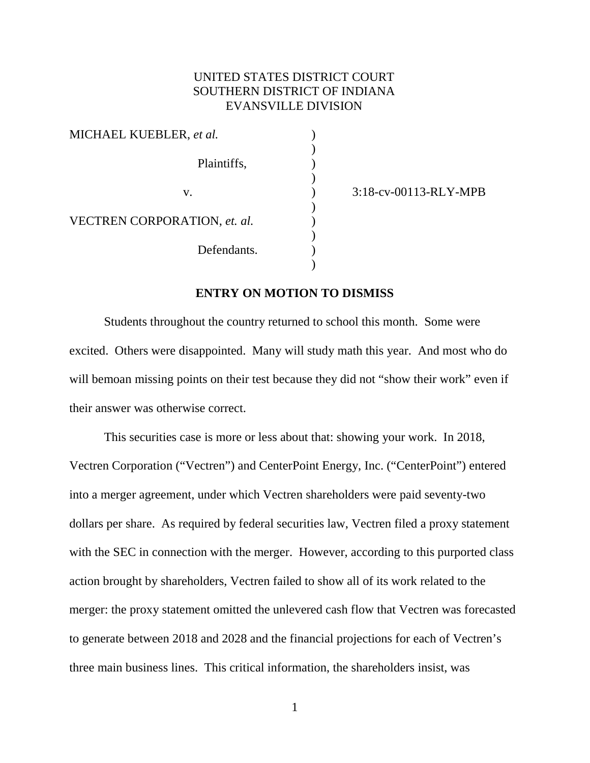# UNITED STATES DISTRICT COURT SOUTHERN DISTRICT OF INDIANA EVANSVILLE DIVISION

)

)

)

)

)

| MICHAEL KUEBLER, et al.      |  |  |  |  |  |  |
|------------------------------|--|--|--|--|--|--|
| Plaintiffs,                  |  |  |  |  |  |  |
| $V_{\cdot}$                  |  |  |  |  |  |  |
| VECTREN CORPORATION, et. al. |  |  |  |  |  |  |
| Defendants.                  |  |  |  |  |  |  |

v. ) 3:18-cv-00113-RLY-MPB

#### **ENTRY ON MOTION TO DISMISS**

Students throughout the country returned to school this month. Some were excited. Others were disappointed. Many will study math this year. And most who do will bemoan missing points on their test because they did not "show their work" even if their answer was otherwise correct.

This securities case is more or less about that: showing your work. In 2018, Vectren Corporation ("Vectren") and CenterPoint Energy, Inc. ("CenterPoint") entered into a merger agreement, under which Vectren shareholders were paid seventy-two dollars per share. As required by federal securities law, Vectren filed a proxy statement with the SEC in connection with the merger. However, according to this purported class action brought by shareholders, Vectren failed to show all of its work related to the merger: the proxy statement omitted the unlevered cash flow that Vectren was forecasted to generate between 2018 and 2028 and the financial projections for each of Vectren's three main business lines. This critical information, the shareholders insist, was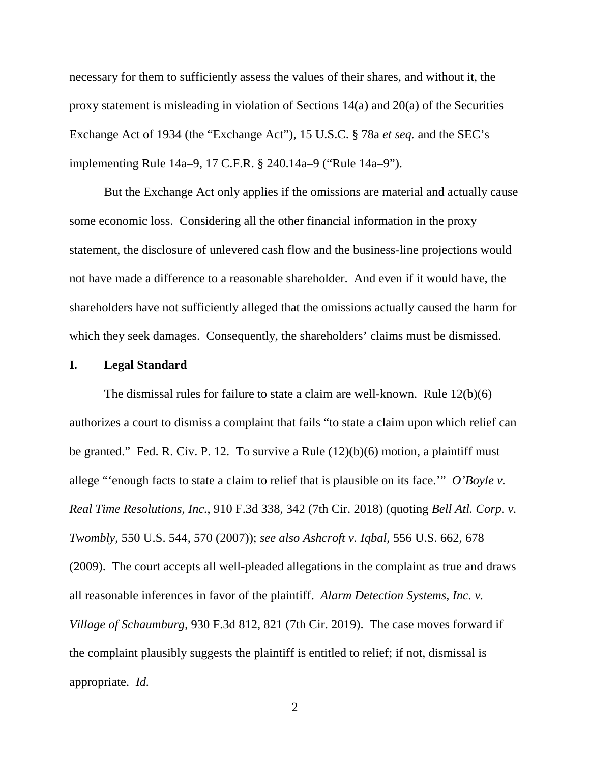necessary for them to sufficiently assess the values of their shares, and without it, the proxy statement is misleading in violation of Sections 14(a) and 20(a) of the Securities Exchange Act of 1934 (the "Exchange Act"), 15 U.S.C. § 78a *et seq.* and the SEC's implementing Rule 14a–9, 17 C.F.R. § 240.14a–9 ("Rule 14a–9").

But the Exchange Act only applies if the omissions are material and actually cause some economic loss. Considering all the other financial information in the proxy statement, the disclosure of unlevered cash flow and the business-line projections would not have made a difference to a reasonable shareholder. And even if it would have, the shareholders have not sufficiently alleged that the omissions actually caused the harm for which they seek damages. Consequently, the shareholders' claims must be dismissed.

#### **I. Legal Standard**

The dismissal rules for failure to state a claim are well-known. Rule 12(b)(6) authorizes a court to dismiss a complaint that fails "to state a claim upon which relief can be granted." Fed. R. Civ. P. 12. To survive a Rule  $(12)(b)(6)$  motion, a plaintiff must allege "'enough facts to state a claim to relief that is plausible on its face.'" *O'Boyle v. Real Time Resolutions, Inc.*, 910 F.3d 338, 342 (7th Cir. 2018) (quoting *Bell Atl. Corp. v. Twombly*, 550 U.S. 544, 570 (2007)); *see also Ashcroft v. Iqbal*, 556 U.S. 662, 678 (2009). The court accepts all well-pleaded allegations in the complaint as true and draws all reasonable inferences in favor of the plaintiff. *Alarm Detection Systems, Inc. v. Village of Schaumburg*, 930 F.3d 812, 821 (7th Cir. 2019). The case moves forward if the complaint plausibly suggests the plaintiff is entitled to relief; if not, dismissal is appropriate. *Id.*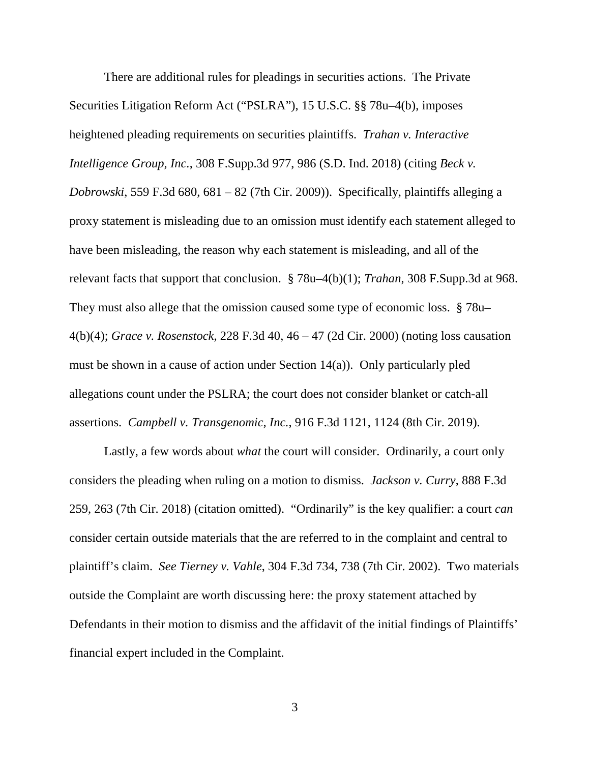There are additional rules for pleadings in securities actions. The Private Securities Litigation Reform Act ("PSLRA"), 15 U.S.C. §§ 78u–4(b), imposes heightened pleading requirements on securities plaintiffs. *Trahan v. Interactive Intelligence Group, Inc.*, 308 F.Supp.3d 977, 986 (S.D. Ind. 2018) (citing *Beck v. Dobrowski*, 559 F.3d 680, 681 – 82 (7th Cir. 2009)). Specifically, plaintiffs alleging a proxy statement is misleading due to an omission must identify each statement alleged to have been misleading, the reason why each statement is misleading, and all of the relevant facts that support that conclusion. § 78u–4(b)(1); *Trahan*, 308 F.Supp.3d at 968. They must also allege that the omission caused some type of economic loss. § 78u– 4(b)(4); *Grace v. Rosenstock*, 228 F.3d 40, 46 – 47 (2d Cir. 2000) (noting loss causation must be shown in a cause of action under Section 14(a)). Only particularly pled allegations count under the PSLRA; the court does not consider blanket or catch-all assertions. *Campbell v. Transgenomic, Inc.*, 916 F.3d 1121, 1124 (8th Cir. 2019).

Lastly, a few words about *what* the court will consider. Ordinarily, a court only considers the pleading when ruling on a motion to dismiss. *Jackson v. Curry*, 888 F.3d 259, 263 (7th Cir. 2018) (citation omitted). "Ordinarily" is the key qualifier: a court *can* consider certain outside materials that the are referred to in the complaint and central to plaintiff's claim. *See Tierney v. Vahle*, 304 F.3d 734, 738 (7th Cir. 2002). Two materials outside the Complaint are worth discussing here: the proxy statement attached by Defendants in their motion to dismiss and the affidavit of the initial findings of Plaintiffs' financial expert included in the Complaint.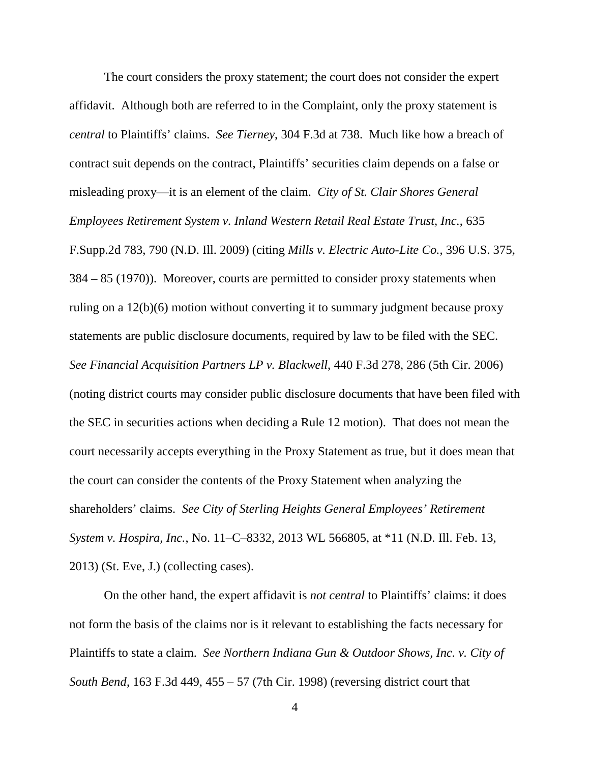The court considers the proxy statement; the court does not consider the expert affidavit. Although both are referred to in the Complaint, only the proxy statement is *central* to Plaintiffs' claims. *See Tierney*, 304 F.3d at 738. Much like how a breach of contract suit depends on the contract, Plaintiffs' securities claim depends on a false or misleading proxy—it is an element of the claim. *City of St. Clair Shores General Employees Retirement System v. Inland Western Retail Real Estate Trust, Inc.*, 635 F.Supp.2d 783, 790 (N.D. Ill. 2009) (citing *Mills v. Electric Auto-Lite Co.*, 396 U.S. 375, 384 – 85 (1970)). Moreover, courts are permitted to consider proxy statements when ruling on a 12(b)(6) motion without converting it to summary judgment because proxy statements are public disclosure documents, required by law to be filed with the SEC. *See Financial Acquisition Partners LP v. Blackwell*, 440 F.3d 278, 286 (5th Cir. 2006) (noting district courts may consider public disclosure documents that have been filed with the SEC in securities actions when deciding a Rule 12 motion). That does not mean the court necessarily accepts everything in the Proxy Statement as true, but it does mean that the court can consider the contents of the Proxy Statement when analyzing the shareholders' claims. *See City of Sterling Heights General Employees' Retirement System v. Hospira, Inc.*, No. 11–C–8332, 2013 WL 566805, at \*11 (N.D. Ill. Feb. 13, 2013) (St. Eve, J.) (collecting cases).

On the other hand, the expert affidavit is *not central* to Plaintiffs' claims: it does not form the basis of the claims nor is it relevant to establishing the facts necessary for Plaintiffs to state a claim. *See Northern Indiana Gun & Outdoor Shows, Inc. v. City of South Bend*, 163 F.3d 449, 455 – 57 (7th Cir. 1998) (reversing district court that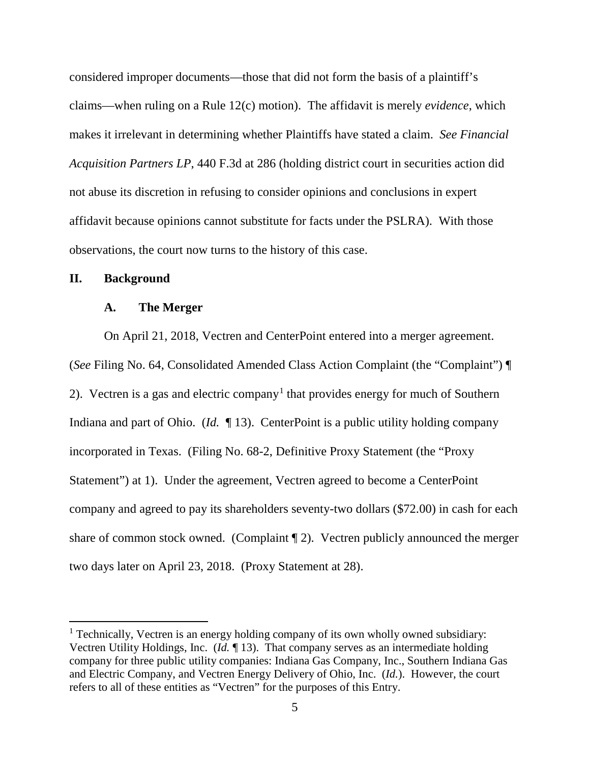considered improper documents—those that did not form the basis of a plaintiff's claims—when ruling on a Rule 12(c) motion). The affidavit is merely *evidence*, which makes it irrelevant in determining whether Plaintiffs have stated a claim. *See Financial Acquisition Partners LP*, 440 F.3d at 286 (holding district court in securities action did not abuse its discretion in refusing to consider opinions and conclusions in expert affidavit because opinions cannot substitute for facts under the PSLRA). With those observations, the court now turns to the history of this case.

## **II. Background**

## **A. The Merger**

On April 21, 2018, Vectren and CenterPoint entered into a merger agreement. (*See* Filing No. 64, Consolidated Amended Class Action Complaint (the "Complaint") ¶ 2). Vectren is a gas and electric company<sup>1</sup> that provides energy for much of Southern Indiana and part of Ohio. (*Id.* ¶ 13). CenterPoint is a public utility holding company incorporated in Texas. (Filing No. 68-2, Definitive Proxy Statement (the "Proxy Statement") at 1). Under the agreement, Vectren agreed to become a CenterPoint company and agreed to pay its shareholders seventy-two dollars (\$72.00) in cash for each share of common stock owned. (Complaint ¶ 2). Vectren publicly announced the merger two days later on April 23, 2018. (Proxy Statement at 28).

<sup>&</sup>lt;sup>1</sup> Technically, Vectren is an energy holding company of its own wholly owned subsidiary: Vectren Utility Holdings, Inc. (*Id.* ¶ 13). That company serves as an intermediate holding company for three public utility companies: Indiana Gas Company, Inc., Southern Indiana Gas and Electric Company, and Vectren Energy Delivery of Ohio, Inc. (*Id.*). However, the court refers to all of these entities as "Vectren" for the purposes of this Entry.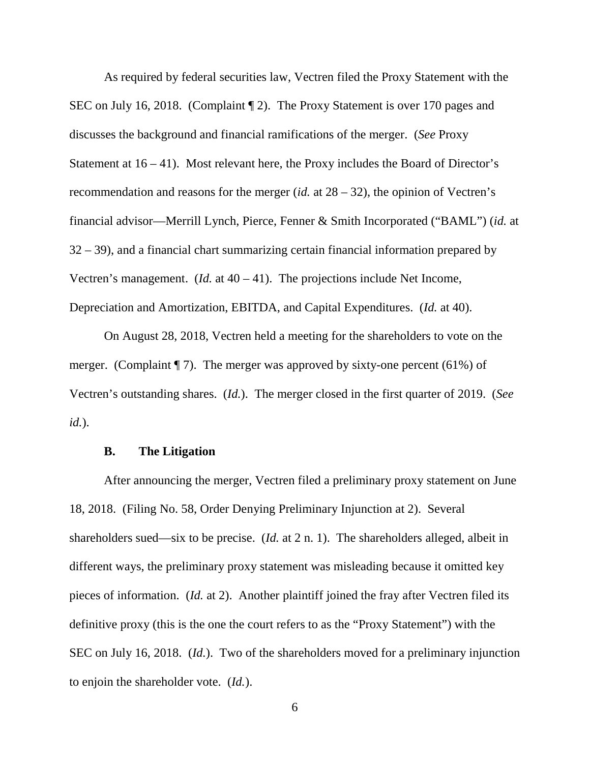As required by federal securities law, Vectren filed the Proxy Statement with the SEC on July 16, 2018. (Complaint ¶ 2). The Proxy Statement is over 170 pages and discusses the background and financial ramifications of the merger. (*See* Proxy Statement at  $16 - 41$ ). Most relevant here, the Proxy includes the Board of Director's recommendation and reasons for the merger (*id.* at 28 – 32), the opinion of Vectren's financial advisor—Merrill Lynch, Pierce, Fenner & Smith Incorporated ("BAML") (*id.* at 32 – 39), and a financial chart summarizing certain financial information prepared by Vectren's management. (*Id.* at 40 – 41). The projections include Net Income, Depreciation and Amortization, EBITDA, and Capital Expenditures. (*Id.* at 40).

On August 28, 2018, Vectren held a meeting for the shareholders to vote on the merger. (Complaint  $\P$  7). The merger was approved by sixty-one percent (61%) of Vectren's outstanding shares. (*Id.*). The merger closed in the first quarter of 2019. (*See id.*).

#### **B. The Litigation**

After announcing the merger, Vectren filed a preliminary proxy statement on June 18, 2018. (Filing No. 58, Order Denying Preliminary Injunction at 2). Several shareholders sued—six to be precise. (*Id.* at 2 n. 1). The shareholders alleged, albeit in different ways, the preliminary proxy statement was misleading because it omitted key pieces of information. (*Id.* at 2). Another plaintiff joined the fray after Vectren filed its definitive proxy (this is the one the court refers to as the "Proxy Statement") with the SEC on July 16, 2018. (*Id.*). Two of the shareholders moved for a preliminary injunction to enjoin the shareholder vote. (*Id.*).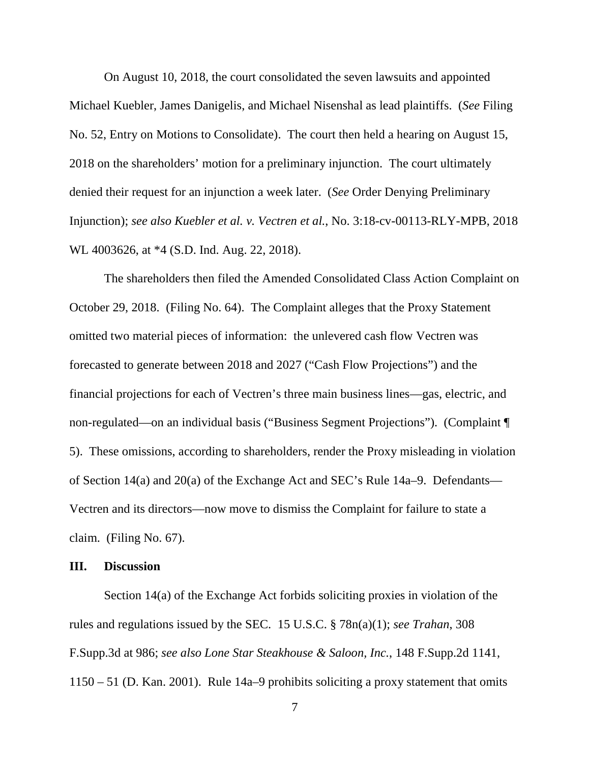On August 10, 2018, the court consolidated the seven lawsuits and appointed Michael Kuebler, James Danigelis, and Michael Nisenshal as lead plaintiffs. (*See* Filing No. 52, Entry on Motions to Consolidate). The court then held a hearing on August 15, 2018 on the shareholders' motion for a preliminary injunction. The court ultimately denied their request for an injunction a week later. (*See* Order Denying Preliminary Injunction); *see also Kuebler et al. v. Vectren et al.*, No. 3:18-cv-00113-RLY-MPB, 2018 WL 4003626, at \*4 (S.D. Ind. Aug. 22, 2018).

The shareholders then filed the Amended Consolidated Class Action Complaint on October 29, 2018. (Filing No. 64). The Complaint alleges that the Proxy Statement omitted two material pieces of information: the unlevered cash flow Vectren was forecasted to generate between 2018 and 2027 ("Cash Flow Projections") and the financial projections for each of Vectren's three main business lines—gas, electric, and non-regulated—on an individual basis ("Business Segment Projections"). (Complaint ¶ 5). These omissions, according to shareholders, render the Proxy misleading in violation of Section 14(a) and 20(a) of the Exchange Act and SEC's Rule 14a–9. Defendants— Vectren and its directors—now move to dismiss the Complaint for failure to state a claim. (Filing No. 67).

#### **III. Discussion**

Section 14(a) of the Exchange Act forbids soliciting proxies in violation of the rules and regulations issued by the SEC. 15 U.S.C. § 78n(a)(1); *see Trahan*, 308 F.Supp.3d at 986; *see also Lone Star Steakhouse & Saloon, Inc.*, 148 F.Supp.2d 1141, 1150 – 51 (D. Kan. 2001). Rule 14a–9 prohibits soliciting a proxy statement that omits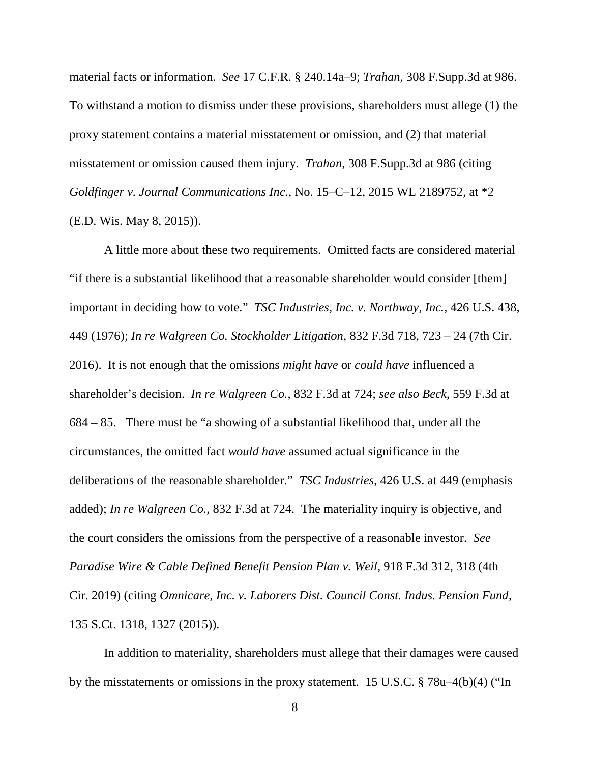material facts or information. *See* 17 C.F.R. § 240.14a–9; *Trahan*, 308 F.Supp.3d at 986. To withstand a motion to dismiss under these provisions, shareholders must allege (1) the proxy statement contains a material misstatement or omission, and (2) that material misstatement or omission caused them injury. *Trahan*, 308 F.Supp.3d at 986 (citing *Goldfinger v. Journal Communications Inc.*, No. 15–C–12, 2015 WL 2189752, at \*2 (E.D. Wis. May 8, 2015)).

A little more about these two requirements. Omitted facts are considered material "if there is a substantial likelihood that a reasonable shareholder would consider [them] important in deciding how to vote." *TSC Industries, Inc. v. Northway, Inc.*, 426 U.S. 438, 449 (1976); *In re Walgreen Co. Stockholder Litigation*, 832 F.3d 718, 723 – 24 (7th Cir. 2016). It is not enough that the omissions *might have* or *could have* influenced a shareholder's decision. *In re Walgreen Co.*, 832 F.3d at 724; *see also Beck*, 559 F.3d at 684 – 85. There must be "a showing of a substantial likelihood that, under all the circumstances, the omitted fact *would have* assumed actual significance in the deliberations of the reasonable shareholder." *TSC Industries*, 426 U.S. at 449 (emphasis added); *In re Walgreen Co.*, 832 F.3d at 724. The materiality inquiry is objective, and the court considers the omissions from the perspective of a reasonable investor. *See Paradise Wire & Cable Defined Benefit Pension Plan v. Weil*, 918 F.3d 312, 318 (4th Cir. 2019) (citing *Omnicare, Inc. v. Laborers Dist. Council Const. Indus. Pension Fund*, 135 S.Ct. 1318, 1327 (2015)).

In addition to materiality, shareholders must allege that their damages were caused by the misstatements or omissions in the proxy statement. 15 U.S.C. § 78u–4(b)(4) ("In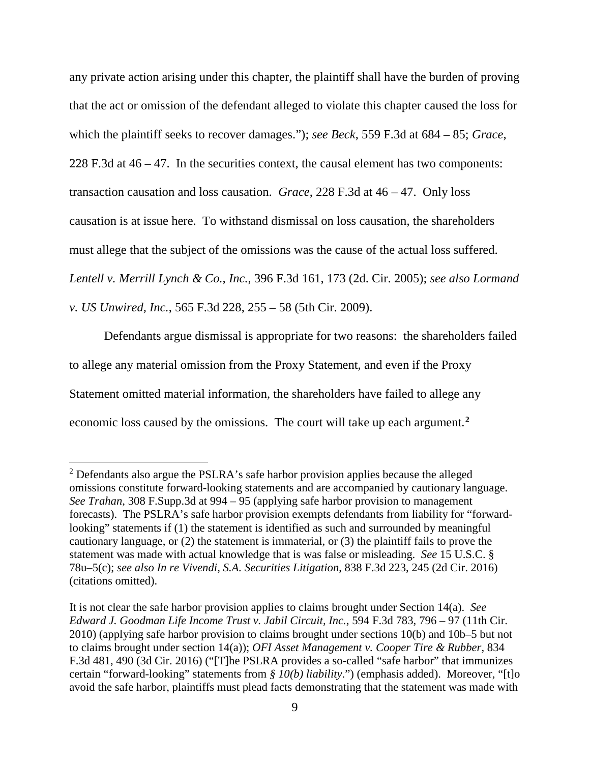any private action arising under this chapter, the plaintiff shall have the burden of proving that the act or omission of the defendant alleged to violate this chapter caused the loss for which the plaintiff seeks to recover damages."); *see Beck*, 559 F.3d at 684 – 85; *Grace*, 228 F.3d at 46 – 47. In the securities context, the causal element has two components: transaction causation and loss causation. *Grace*, 228 F.3d at 46 – 47. Only loss causation is at issue here. To withstand dismissal on loss causation, the shareholders must allege that the subject of the omissions was the cause of the actual loss suffered. *Lentell v. Merrill Lynch & Co., Inc.*, 396 F.3d 161, 173 (2d. Cir. 2005); *see also Lormand v. US Unwired, Inc.*, 565 F.3d 228, 255 – 58 (5th Cir. 2009).

Defendants argue dismissal is appropriate for two reasons: the shareholders failed to allege any material omission from the Proxy Statement, and even if the Proxy Statement omitted material information, the shareholders have failed to allege any economic loss caused by the omissions. The court will take up each argument.**<sup>2</sup>**

<sup>&</sup>lt;sup>2</sup> Defendants also argue the PSLRA's safe harbor provision applies because the alleged omissions constitute forward-looking statements and are accompanied by cautionary language. *See Trahan*, 308 F.Supp.3d at 994 – 95 (applying safe harbor provision to management forecasts). The PSLRA's safe harbor provision exempts defendants from liability for "forwardlooking" statements if (1) the statement is identified as such and surrounded by meaningful cautionary language, or (2) the statement is immaterial, or (3) the plaintiff fails to prove the statement was made with actual knowledge that is was false or misleading. *See* 15 U.S.C. § 78u–5(c); *see also In re Vivendi, S.A. Securities Litigation*, 838 F.3d 223, 245 (2d Cir. 2016) (citations omitted).

It is not clear the safe harbor provision applies to claims brought under Section 14(a). *See Edward J. Goodman Life Income Trust v. Jabil Circuit, Inc.*, 594 F.3d 783, 796 – 97 (11th Cir. 2010) (applying safe harbor provision to claims brought under sections 10(b) and 10b–5 but not to claims brought under section 14(a)); *OFI Asset Management v. Cooper Tire & Rubber*, 834 F.3d 481, 490 (3d Cir. 2016) ("[T]he PSLRA provides a so-called "safe harbor" that immunizes certain "forward-looking" statements from *§ 10(b) liability*.") (emphasis added). Moreover, "[t]o avoid the safe harbor, plaintiffs must plead facts demonstrating that the statement was made with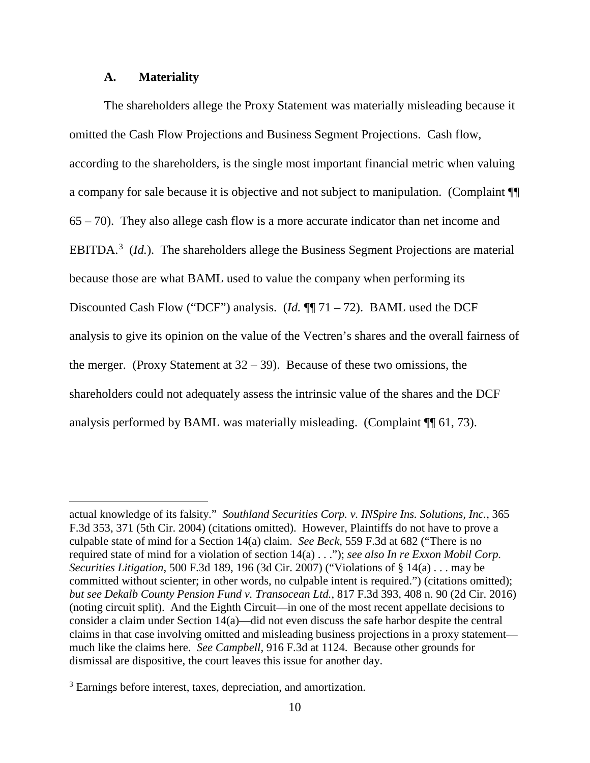### **A. Materiality**

 $\overline{a}$ 

The shareholders allege the Proxy Statement was materially misleading because it omitted the Cash Flow Projections and Business Segment Projections. Cash flow, according to the shareholders, is the single most important financial metric when valuing a company for sale because it is objective and not subject to manipulation. (Complaint ¶¶ 65 – 70). They also allege cash flow is a more accurate indicator than net income and EBITDA.<sup>3</sup> (*Id.*). The shareholders allege the Business Segment Projections are material because those are what BAML used to value the company when performing its Discounted Cash Flow ("DCF") analysis. (*Id.* ¶¶ 71 – 72). BAML used the DCF analysis to give its opinion on the value of the Vectren's shares and the overall fairness of the merger. (Proxy Statement at  $32 - 39$ ). Because of these two omissions, the shareholders could not adequately assess the intrinsic value of the shares and the DCF analysis performed by BAML was materially misleading. (Complaint ¶¶ 61, 73).

actual knowledge of its falsity." *Southland Securities Corp. v. INSpire Ins. Solutions, Inc.*, 365 F.3d 353, 371 (5th Cir. 2004) (citations omitted). However, Plaintiffs do not have to prove a culpable state of mind for a Section 14(a) claim. *See Beck*, 559 F.3d at 682 ("There is no required state of mind for a violation of section 14(a) . . ."); *see also In re Exxon Mobil Corp. Securities Litigation*, 500 F.3d 189, 196 (3d Cir. 2007) ("Violations of § 14(a) . . . may be committed without scienter; in other words, no culpable intent is required.") (citations omitted); *but see Dekalb County Pension Fund v. Transocean Ltd.*, 817 F.3d 393, 408 n. 90 (2d Cir. 2016) (noting circuit split). And the Eighth Circuit—in one of the most recent appellate decisions to consider a claim under Section 14(a)—did not even discuss the safe harbor despite the central claims in that case involving omitted and misleading business projections in a proxy statement much like the claims here. *See Campbell*, 916 F.3d at 1124. Because other grounds for dismissal are dispositive, the court leaves this issue for another day.

<sup>&</sup>lt;sup>3</sup> Earnings before interest, taxes, depreciation, and amortization.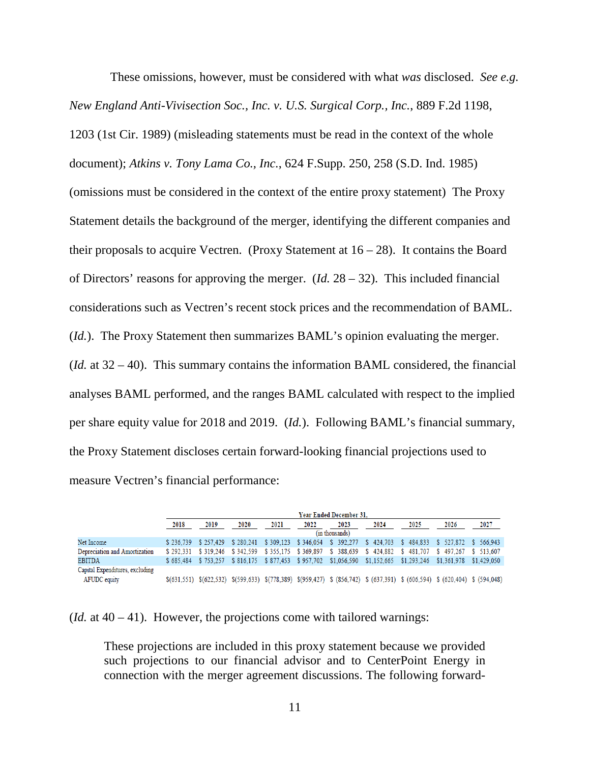These omissions, however, must be considered with what *was* disclosed. *See e.g. New England Anti-Vivisection Soc., Inc. v. U.S. Surgical Corp., Inc.*, 889 F.2d 1198, 1203 (1st Cir. 1989) (misleading statements must be read in the context of the whole document); *Atkins v. Tony Lama Co., Inc.*, 624 F.Supp. 250, 258 (S.D. Ind. 1985) (omissions must be considered in the context of the entire proxy statement) The Proxy Statement details the background of the merger, identifying the different companies and their proposals to acquire Vectren. (Proxy Statement at  $16 - 28$ ). It contains the Board of Directors' reasons for approving the merger. (*Id.* 28 – 32). This included financial considerations such as Vectren's recent stock prices and the recommendation of BAML. (*Id.*). The Proxy Statement then summarizes BAML's opinion evaluating the merger. (*Id.* at 32 – 40). This summary contains the information BAML considered, the financial analyses BAML performed, and the ranges BAML calculated with respect to the implied per share equity value for 2018 and 2019. (*Id.*). Following BAML's financial summary, the Proxy Statement discloses certain forward-looking financial projections used to measure Vectren's financial performance:

|                                 | Year Ended December 31. |                               |      |      |      |      |      |                                                                                                                                                                                                                                                                           |      |      |
|---------------------------------|-------------------------|-------------------------------|------|------|------|------|------|---------------------------------------------------------------------------------------------------------------------------------------------------------------------------------------------------------------------------------------------------------------------------|------|------|
|                                 | 2018                    | 2019                          | 2020 | 2021 | 2022 | 2023 | 2024 | 2025                                                                                                                                                                                                                                                                      | 2026 | 2027 |
|                                 | (in thousands)          |                               |      |      |      |      |      |                                                                                                                                                                                                                                                                           |      |      |
| Net Income                      |                         | \$236.739 \$257.429 \$280.241 |      |      |      |      |      | \$309.123 \$346.054 \$392.277 \$424.703 \$484.833 \$527.872 \$566.943                                                                                                                                                                                                     |      |      |
| Depreciation and Amortization   |                         | \$292.331 \$319.246 \$342.599 |      |      |      |      |      | \$355.175 \$369.897 \$388.639 \$424.882 \$481.707 \$497.267 \$513.607                                                                                                                                                                                                     |      |      |
| <b>EBITDA</b>                   |                         |                               |      |      |      |      |      | \$685.484 \$753.257 \$816.175 \$877.453 \$957.702 \$1.056.590 \$1.152.665 \$1.293.246 \$1.361.978 \$1.429.050                                                                                                                                                             |      |      |
| Capital Expenditures, excluding |                         |                               |      |      |      |      |      |                                                                                                                                                                                                                                                                           |      |      |
| AFUDC equity                    |                         |                               |      |      |      |      |      | $\$(631,551) \$(622,532) \$(599,633) \$(778,389) \$(959,427) \$(856,742) \$(637,391) \$(606,594) \$(620,404) \$(193,631) \$(193,632) \$(193,633) \$(193,633) \$(193,633) \$(193,633) \$(193,633) \$(193,633) \$(193,633) \$(193,633) \$(193,633) \$(193,633) \$(193,633)$ |      |      |

(*Id.* at  $40 - 41$ ). However, the projections come with tailored warnings:

These projections are included in this proxy statement because we provided such projections to our financial advisor and to CenterPoint Energy in connection with the merger agreement discussions. The following forward-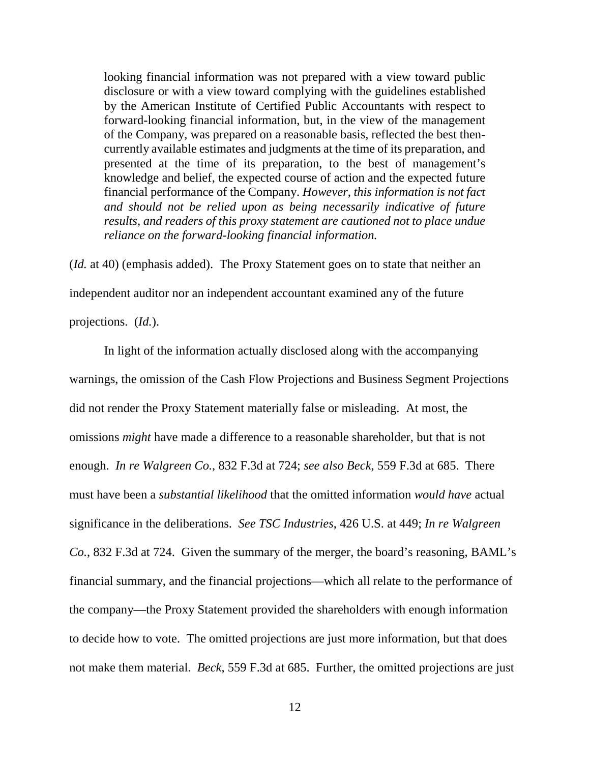looking financial information was not prepared with a view toward public disclosure or with a view toward complying with the guidelines established by the American Institute of Certified Public Accountants with respect to forward-looking financial information, but, in the view of the management of the Company, was prepared on a reasonable basis, reflected the best thencurrently available estimates and judgments at the time of its preparation, and presented at the time of its preparation, to the best of management's knowledge and belief, the expected course of action and the expected future financial performance of the Company. *However, this information is not fact and should not be relied upon as being necessarily indicative of future results, and readers of this proxy statement are cautioned not to place undue reliance on the forward-looking financial information.*

(*Id.* at 40) (emphasis added). The Proxy Statement goes on to state that neither an independent auditor nor an independent accountant examined any of the future projections. (*Id.*).

In light of the information actually disclosed along with the accompanying warnings, the omission of the Cash Flow Projections and Business Segment Projections did not render the Proxy Statement materially false or misleading. At most, the omissions *might* have made a difference to a reasonable shareholder, but that is not enough. *In re Walgreen Co.*, 832 F.3d at 724; *see also Beck*, 559 F.3d at 685. There must have been a *substantial likelihood* that the omitted information *would have* actual significance in the deliberations. *See TSC Industries*, 426 U.S. at 449; *In re Walgreen Co.*, 832 F.3d at 724. Given the summary of the merger, the board's reasoning, BAML's financial summary, and the financial projections—which all relate to the performance of the company—the Proxy Statement provided the shareholders with enough information to decide how to vote. The omitted projections are just more information, but that does not make them material. *Beck*, 559 F.3d at 685. Further, the omitted projections are just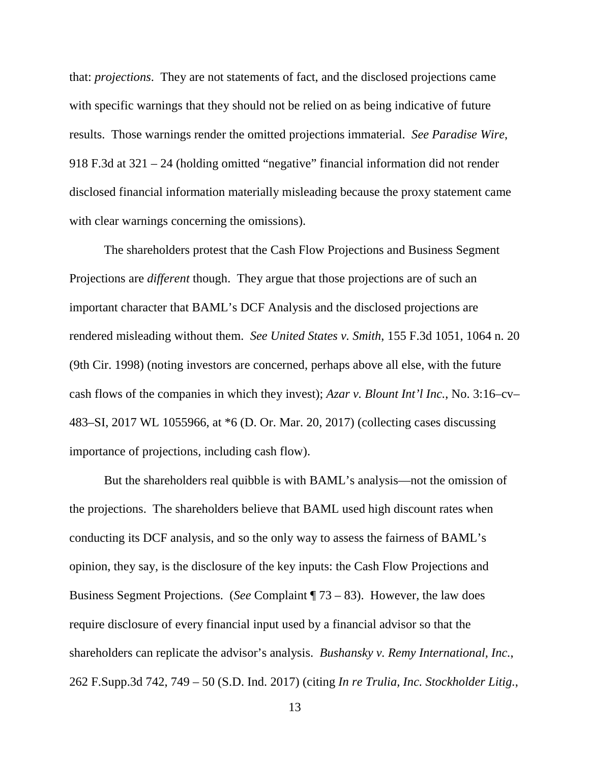that: *projections*. They are not statements of fact, and the disclosed projections came with specific warnings that they should not be relied on as being indicative of future results. Those warnings render the omitted projections immaterial. *See Paradise Wire*, 918 F.3d at 321 – 24 (holding omitted "negative" financial information did not render disclosed financial information materially misleading because the proxy statement came with clear warnings concerning the omissions).

The shareholders protest that the Cash Flow Projections and Business Segment Projections are *different* though. They argue that those projections are of such an important character that BAML's DCF Analysis and the disclosed projections are rendered misleading without them. *See United States v. Smith*, 155 F.3d 1051, 1064 n. 20 (9th Cir. 1998) (noting investors are concerned, perhaps above all else, with the future cash flows of the companies in which they invest); *Azar v. Blount Int'l Inc.*, No. 3:16–cv– 483–SI, 2017 WL 1055966, at \*6 (D. Or. Mar. 20, 2017) (collecting cases discussing importance of projections, including cash flow).

But the shareholders real quibble is with BAML's analysis—not the omission of the projections. The shareholders believe that BAML used high discount rates when conducting its DCF analysis, and so the only way to assess the fairness of BAML's opinion, they say, is the disclosure of the key inputs: the Cash Flow Projections and Business Segment Projections. (*See* Complaint ¶ 73 – 83). However, the law does require disclosure of every financial input used by a financial advisor so that the shareholders can replicate the advisor's analysis. *Bushansky v. Remy International, Inc.*, 262 F.Supp.3d 742, 749 – 50 (S.D. Ind. 2017) (citing *In re Trulia, Inc. Stockholder Litig.*,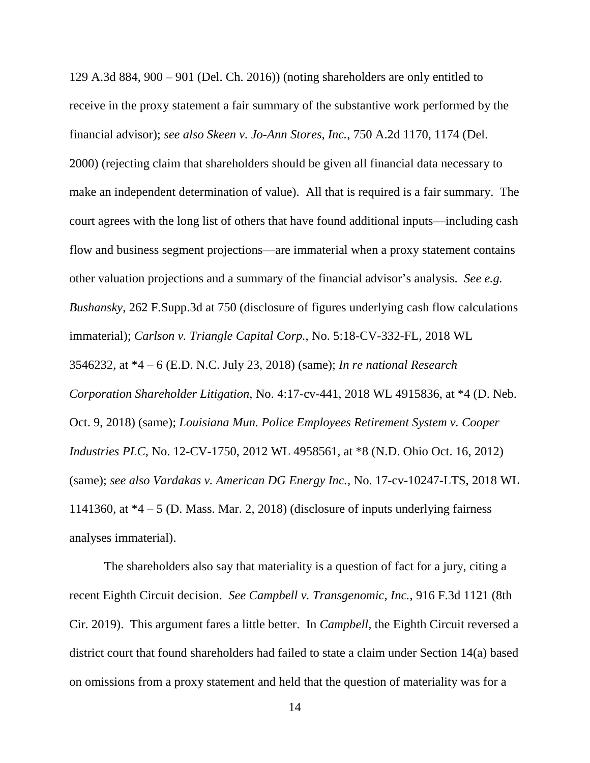129 A.3d 884, 900 – 901 (Del. Ch. 2016)) (noting shareholders are only entitled to receive in the proxy statement a fair summary of the substantive work performed by the financial advisor); *see also Skeen v. Jo-Ann Stores, Inc.*, 750 A.2d 1170, 1174 (Del.

2000) (rejecting claim that shareholders should be given all financial data necessary to make an independent determination of value). All that is required is a fair summary. The court agrees with the long list of others that have found additional inputs—including cash flow and business segment projections—are immaterial when a proxy statement contains other valuation projections and a summary of the financial advisor's analysis. *See e.g. Bushansky*, 262 F.Supp.3d at 750 (disclosure of figures underlying cash flow calculations immaterial); *Carlson v. Triangle Capital Corp.*, No. 5:18-CV-332-FL, 2018 WL 3546232, at \*4 – 6 (E.D. N.C. July 23, 2018) (same); *In re national Research Corporation Shareholder Litigation*, No. 4:17-cv-441, 2018 WL 4915836, at \*4 (D. Neb. Oct. 9, 2018) (same); *Louisiana Mun. Police Employees Retirement System v. Cooper Industries PLC*, No. 12-CV-1750, 2012 WL 4958561, at \*8 (N.D. Ohio Oct. 16, 2012) (same); *see also Vardakas v. American DG Energy Inc.*, No. 17-cv-10247-LTS, 2018 WL 1141360, at  $*4 - 5$  (D. Mass. Mar. 2, 2018) (disclosure of inputs underlying fairness analyses immaterial).

The shareholders also say that materiality is a question of fact for a jury, citing a recent Eighth Circuit decision. *See Campbell v. Transgenomic, Inc.*, 916 F.3d 1121 (8th Cir. 2019). This argument fares a little better. In *Campbell*, the Eighth Circuit reversed a district court that found shareholders had failed to state a claim under Section 14(a) based on omissions from a proxy statement and held that the question of materiality was for a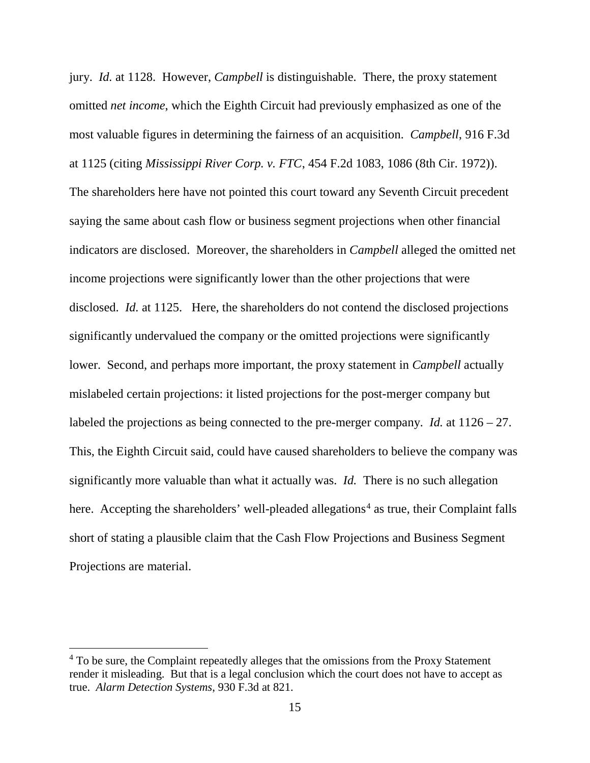jury. *Id.* at 1128. However, *Campbell* is distinguishable. There, the proxy statement omitted *net income*, which the Eighth Circuit had previously emphasized as one of the most valuable figures in determining the fairness of an acquisition. *Campbell*, 916 F.3d at 1125 (citing *Mississippi River Corp. v. FTC*, 454 F.2d 1083, 1086 (8th Cir. 1972)). The shareholders here have not pointed this court toward any Seventh Circuit precedent saying the same about cash flow or business segment projections when other financial indicators are disclosed. Moreover, the shareholders in *Campbell* alleged the omitted net income projections were significantly lower than the other projections that were disclosed. *Id.* at 1125. Here, the shareholders do not contend the disclosed projections significantly undervalued the company or the omitted projections were significantly lower. Second, and perhaps more important, the proxy statement in *Campbell* actually mislabeled certain projections: it listed projections for the post-merger company but labeled the projections as being connected to the pre-merger company. *Id.* at 1126 – 27. This, the Eighth Circuit said, could have caused shareholders to believe the company was significantly more valuable than what it actually was. *Id.* There is no such allegation here. Accepting the shareholders' well-pleaded allegations<sup>4</sup> as true, their Complaint falls short of stating a plausible claim that the Cash Flow Projections and Business Segment Projections are material.

<sup>&</sup>lt;sup>4</sup> To be sure, the Complaint repeatedly alleges that the omissions from the Proxy Statement render it misleading. But that is a legal conclusion which the court does not have to accept as true. *Alarm Detection Systems*, 930 F.3d at 821.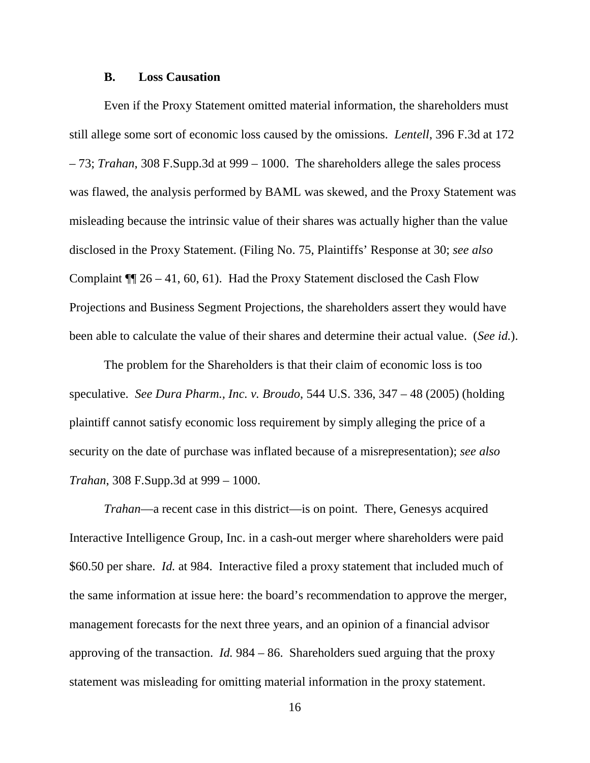#### **B. Loss Causation**

Even if the Proxy Statement omitted material information, the shareholders must still allege some sort of economic loss caused by the omissions. *Lentell*, 396 F.3d at 172 – 73; *Trahan*, 308 F.Supp.3d at 999 – 1000. The shareholders allege the sales process was flawed, the analysis performed by BAML was skewed, and the Proxy Statement was misleading because the intrinsic value of their shares was actually higher than the value disclosed in the Proxy Statement. (Filing No. 75, Plaintiffs' Response at 30; *see also* Complaint ¶¶ 26 – 41, 60, 61). Had the Proxy Statement disclosed the Cash Flow Projections and Business Segment Projections, the shareholders assert they would have been able to calculate the value of their shares and determine their actual value. (*See id.*).

The problem for the Shareholders is that their claim of economic loss is too speculative. *See Dura Pharm., Inc. v. Broudo*, 544 U.S. 336, 347 – 48 (2005) (holding plaintiff cannot satisfy economic loss requirement by simply alleging the price of a security on the date of purchase was inflated because of a misrepresentation); *see also Trahan*, 308 F.Supp.3d at 999 – 1000.

*Trahan*—a recent case in this district—is on point. There, Genesys acquired Interactive Intelligence Group, Inc. in a cash-out merger where shareholders were paid \$60.50 per share. *Id.* at 984. Interactive filed a proxy statement that included much of the same information at issue here: the board's recommendation to approve the merger, management forecasts for the next three years, and an opinion of a financial advisor approving of the transaction. *Id.* 984 – 86. Shareholders sued arguing that the proxy statement was misleading for omitting material information in the proxy statement.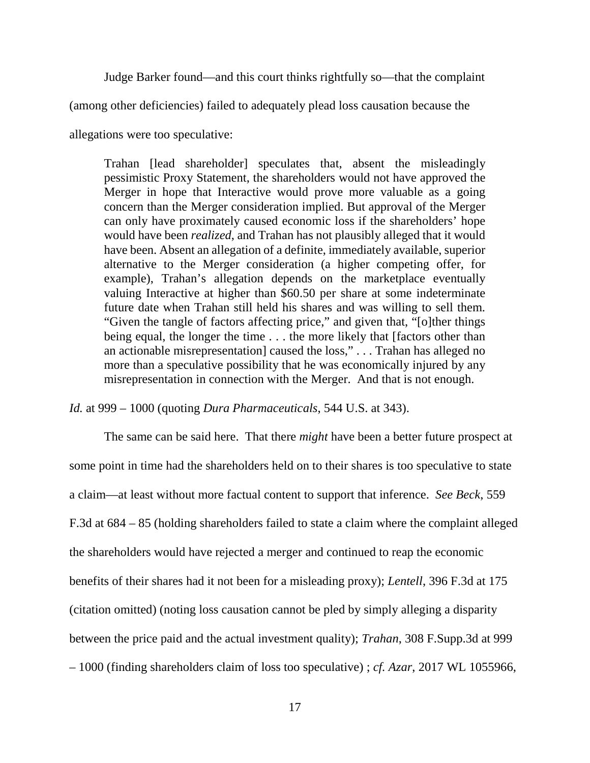Judge Barker found—and this court thinks rightfully so—that the complaint

(among other deficiencies) failed to adequately plead loss causation because the

allegations were too speculative:

Trahan [lead shareholder] speculates that, absent the misleadingly pessimistic Proxy Statement, the shareholders would not have approved the Merger in hope that Interactive would prove more valuable as a going concern than the Merger consideration implied. But approval of the Merger can only have proximately caused economic loss if the shareholders' hope would have been *realized*, and Trahan has not plausibly alleged that it would have been. Absent an allegation of a definite, immediately available, superior alternative to the Merger consideration (a higher competing offer, for example), Trahan's allegation depends on the marketplace eventually valuing Interactive at higher than \$60.50 per share at some indeterminate future date when Trahan still held his shares and was willing to sell them. "Given the tangle of factors affecting price," and given that, "[o]ther things being equal, the longer the time . . . the more likely that [factors other than an actionable misrepresentation] caused the loss," . . . Trahan has alleged no more than a speculative possibility that he was economically injured by any misrepresentation in connection with the Merger. And that is not enough.

*Id.* at 999 – 1000 (quoting *Dura Pharmaceuticals*, 544 U.S. at 343).

The same can be said here. That there *might* have been a better future prospect at some point in time had the shareholders held on to their shares is too speculative to state a claim—at least without more factual content to support that inference. *See Beck*, 559 F.3d at 684 – 85 (holding shareholders failed to state a claim where the complaint alleged the shareholders would have rejected a merger and continued to reap the economic benefits of their shares had it not been for a misleading proxy); *Lentell*, 396 F.3d at 175 (citation omitted) (noting loss causation cannot be pled by simply alleging a disparity between the price paid and the actual investment quality); *Trahan*, 308 F.Supp.3d at 999 – 1000 (finding shareholders claim of loss too speculative) ; *cf. Azar*, 2017 WL 1055966,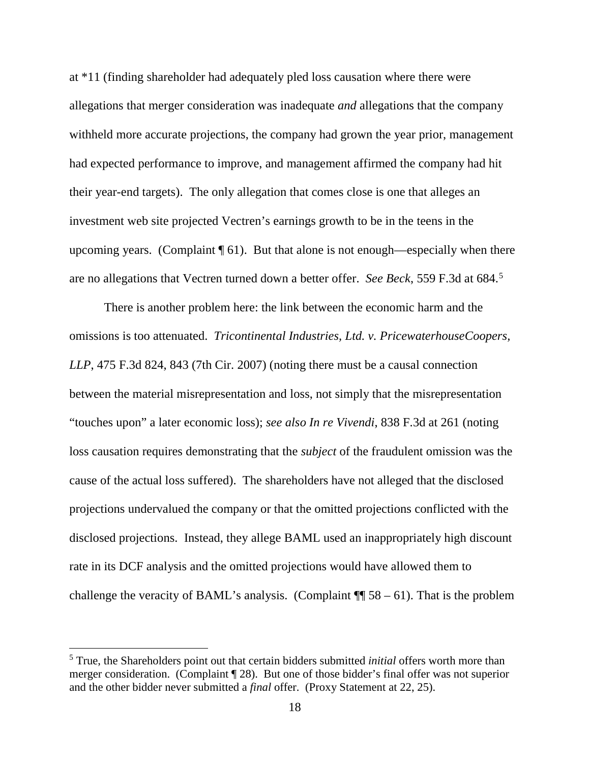at \*11 (finding shareholder had adequately pled loss causation where there were allegations that merger consideration was inadequate *and* allegations that the company withheld more accurate projections, the company had grown the year prior, management had expected performance to improve, and management affirmed the company had hit their year-end targets). The only allegation that comes close is one that alleges an investment web site projected Vectren's earnings growth to be in the teens in the upcoming years. (Complaint  $\P$  61). But that alone is not enough—especially when there are no allegations that Vectren turned down a better offer. *See Beck*, 559 F.3d at 684. 5

There is another problem here: the link between the economic harm and the omissions is too attenuated. *Tricontinental Industries, Ltd. v. PricewaterhouseCoopers, LLP*, 475 F.3d 824, 843 (7th Cir. 2007) (noting there must be a causal connection between the material misrepresentation and loss, not simply that the misrepresentation "touches upon" a later economic loss); *see also In re Vivendi*, 838 F.3d at 261 (noting loss causation requires demonstrating that the *subject* of the fraudulent omission was the cause of the actual loss suffered). The shareholders have not alleged that the disclosed projections undervalued the company or that the omitted projections conflicted with the disclosed projections. Instead, they allege BAML used an inappropriately high discount rate in its DCF analysis and the omitted projections would have allowed them to challenge the veracity of BAML's analysis. (Complaint  $\P$  58 – 61). That is the problem

 <sup>5</sup> True, the Shareholders point out that certain bidders submitted *initial* offers worth more than merger consideration. (Complaint ¶ 28). But one of those bidder's final offer was not superior and the other bidder never submitted a *final* offer. (Proxy Statement at 22, 25).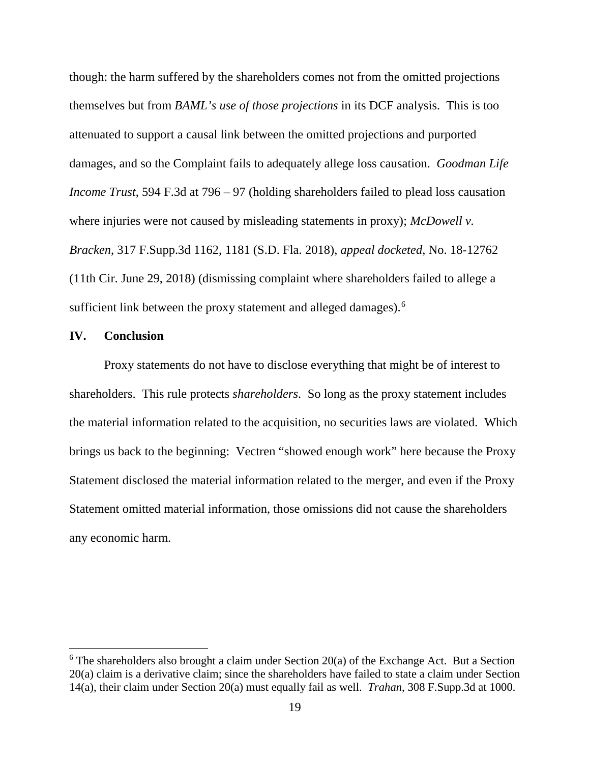though: the harm suffered by the shareholders comes not from the omitted projections themselves but from *BAML's use of those projections* in its DCF analysis. This is too attenuated to support a causal link between the omitted projections and purported damages, and so the Complaint fails to adequately allege loss causation. *Goodman Life Income Trust*, 594 F.3d at 796 – 97 (holding shareholders failed to plead loss causation where injuries were not caused by misleading statements in proxy); *McDowell v*. *Bracken*, 317 F.Supp.3d 1162, 1181 (S.D. Fla. 2018), *appeal docketed*, No. 18-12762 (11th Cir. June 29, 2018) (dismissing complaint where shareholders failed to allege a sufficient link between the proxy statement and alleged damages).<sup>6</sup>

# **IV. Conclusion**

Proxy statements do not have to disclose everything that might be of interest to shareholders. This rule protects *shareholders*. So long as the proxy statement includes the material information related to the acquisition, no securities laws are violated. Which brings us back to the beginning: Vectren "showed enough work" here because the Proxy Statement disclosed the material information related to the merger, and even if the Proxy Statement omitted material information, those omissions did not cause the shareholders any economic harm.

 $6$  The shareholders also brought a claim under Section 20(a) of the Exchange Act. But a Section 20(a) claim is a derivative claim; since the shareholders have failed to state a claim under Section 14(a), their claim under Section 20(a) must equally fail as well. *Trahan*, 308 F.Supp.3d at 1000.